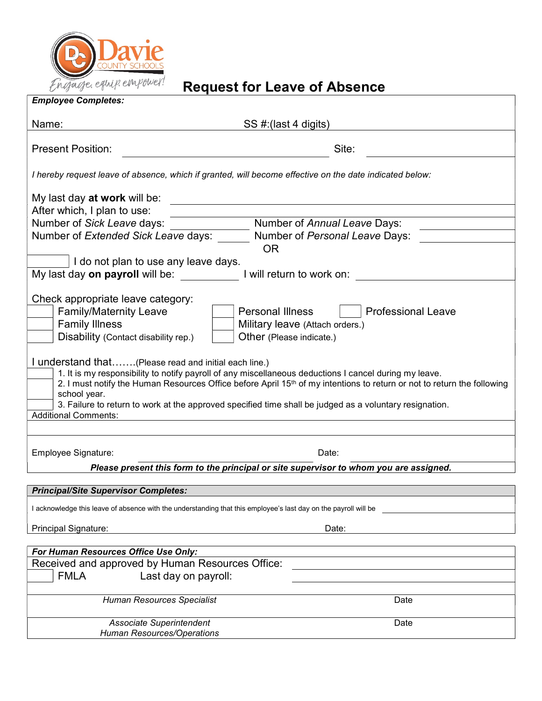

# equipenpower! Request for Leave of Absence

| Name:                                                                                                           | SS #: (last 4 digits)                                                                                                                                                                                                                                                                                                                                    |
|-----------------------------------------------------------------------------------------------------------------|----------------------------------------------------------------------------------------------------------------------------------------------------------------------------------------------------------------------------------------------------------------------------------------------------------------------------------------------------------|
| <b>Present Position:</b>                                                                                        | Site:                                                                                                                                                                                                                                                                                                                                                    |
|                                                                                                                 | I hereby request leave of absence, which if granted, will become effective on the date indicated below:                                                                                                                                                                                                                                                  |
|                                                                                                                 |                                                                                                                                                                                                                                                                                                                                                          |
| After which, I plan to use:                                                                                     |                                                                                                                                                                                                                                                                                                                                                          |
| Number of Sick Leave days:                                                                                      | Number of Annual Leave Days:                                                                                                                                                                                                                                                                                                                             |
| Number of Extended Sick Leave days:                                                                             | Number of Personal Leave Days:<br><b>OR</b>                                                                                                                                                                                                                                                                                                              |
| I do not plan to use any leave days.                                                                            |                                                                                                                                                                                                                                                                                                                                                          |
| My last day on payroll will be:                                                                                 | I will return to work on:                                                                                                                                                                                                                                                                                                                                |
|                                                                                                                 |                                                                                                                                                                                                                                                                                                                                                          |
| Check appropriate leave category:                                                                               |                                                                                                                                                                                                                                                                                                                                                          |
| <b>Family/Maternity Leave</b>                                                                                   | <b>Personal Illness</b><br><b>Professional Leave</b>                                                                                                                                                                                                                                                                                                     |
| <b>Family Illness</b>                                                                                           | Military leave (Attach orders.)                                                                                                                                                                                                                                                                                                                          |
| Disability (Contact disability rep.)                                                                            | Other (Please indicate.)                                                                                                                                                                                                                                                                                                                                 |
| I understand that(Please read and initial each line.)<br>school year.                                           | 1. It is my responsibility to notify payroll of any miscellaneous deductions I cancel during my leave.<br>2. I must notify the Human Resources Office before April 15 <sup>th</sup> of my intentions to return or not to return the following<br>3. Failure to return to work at the approved specified time shall be judged as a voluntary resignation. |
| <b>Additional Comments:</b>                                                                                     |                                                                                                                                                                                                                                                                                                                                                          |
|                                                                                                                 |                                                                                                                                                                                                                                                                                                                                                          |
| Employee Signature:                                                                                             | Date:                                                                                                                                                                                                                                                                                                                                                    |
|                                                                                                                 | Please present this form to the principal or site supervisor to whom you are assigned.                                                                                                                                                                                                                                                                   |
| <b>Principal/Site Supervisor Completes:</b>                                                                     |                                                                                                                                                                                                                                                                                                                                                          |
|                                                                                                                 |                                                                                                                                                                                                                                                                                                                                                          |
| I acknowledge this leave of absence with the understanding that this employee's last day on the payroll will be |                                                                                                                                                                                                                                                                                                                                                          |
| Principal Signature:                                                                                            | Date:                                                                                                                                                                                                                                                                                                                                                    |
| For Human Resources Office Use Only:                                                                            |                                                                                                                                                                                                                                                                                                                                                          |
| Received and approved by Human Resources Office:                                                                |                                                                                                                                                                                                                                                                                                                                                          |
| <b>FMLA</b><br>Last day on payroll:                                                                             |                                                                                                                                                                                                                                                                                                                                                          |
| Human Resources Specialist                                                                                      | Date                                                                                                                                                                                                                                                                                                                                                     |
|                                                                                                                 |                                                                                                                                                                                                                                                                                                                                                          |
| Associate Superintendent                                                                                        | Date                                                                                                                                                                                                                                                                                                                                                     |
| <b>Human Resources/Operations</b>                                                                               |                                                                                                                                                                                                                                                                                                                                                          |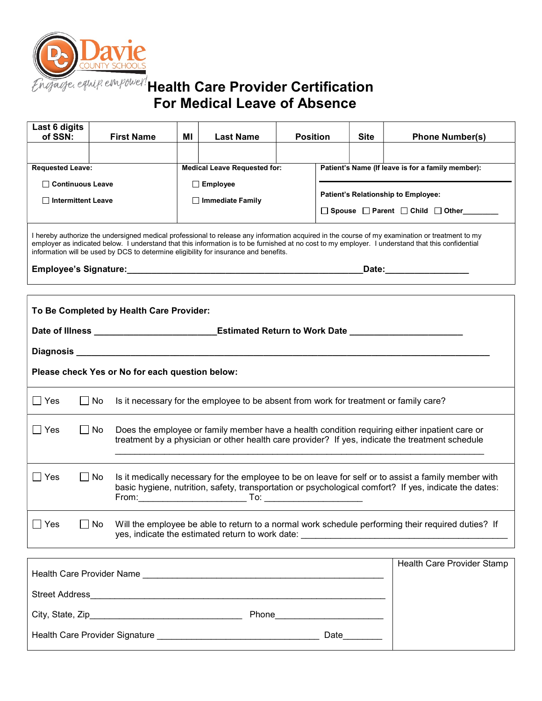

## $\sqrt{ }$ Health Care Provider Certification For Medical Leave of Absence

| Last 6 digits<br>of SSN:                                                                                                                                                                            |                                                                                                                                                                                                                                                                                                                                                                                             | <b>First Name</b>                                                                                                                                                                                              | MI              | <b>Last Name</b>                                                                             |  | <b>Position</b>                                   |  | <b>Phone Number(s)</b>            |  |  |
|-----------------------------------------------------------------------------------------------------------------------------------------------------------------------------------------------------|---------------------------------------------------------------------------------------------------------------------------------------------------------------------------------------------------------------------------------------------------------------------------------------------------------------------------------------------------------------------------------------------|----------------------------------------------------------------------------------------------------------------------------------------------------------------------------------------------------------------|-----------------|----------------------------------------------------------------------------------------------|--|---------------------------------------------------|--|-----------------------------------|--|--|
|                                                                                                                                                                                                     |                                                                                                                                                                                                                                                                                                                                                                                             |                                                                                                                                                                                                                |                 |                                                                                              |  |                                                   |  |                                   |  |  |
|                                                                                                                                                                                                     | <b>Requested Leave:</b>                                                                                                                                                                                                                                                                                                                                                                     |                                                                                                                                                                                                                |                 | <b>Medical Leave Requested for:</b>                                                          |  | Patient's Name (If leave is for a family member): |  |                                   |  |  |
|                                                                                                                                                                                                     | □ Continuous Leave                                                                                                                                                                                                                                                                                                                                                                          |                                                                                                                                                                                                                | $\Box$ Employee |                                                                                              |  |                                                   |  |                                   |  |  |
| □ Intermittent Leave                                                                                                                                                                                |                                                                                                                                                                                                                                                                                                                                                                                             | $\Box$ Immediate Family                                                                                                                                                                                        |                 | Patient's Relationship to Employee:<br>$\Box$ Spouse $\Box$ Parent $\Box$ Child $\Box$ Other |  |                                                   |  |                                   |  |  |
|                                                                                                                                                                                                     | I hereby authorize the undersigned medical professional to release any information acquired in the course of my examination or treatment to my<br>employer as indicated below. I understand that this information is to be furnished at no cost to my employer. I understand that this confidential<br>information will be used by DCS to determine eligibility for insurance and benefits. |                                                                                                                                                                                                                |                 |                                                                                              |  |                                                   |  |                                   |  |  |
|                                                                                                                                                                                                     | _Date:_________________                                                                                                                                                                                                                                                                                                                                                                     |                                                                                                                                                                                                                |                 |                                                                                              |  |                                                   |  |                                   |  |  |
| To Be Completed by Health Care Provider:<br>Date of Illness ________________________________Estimated Return to Work Date ______________________<br>Please check Yes or No for each question below: |                                                                                                                                                                                                                                                                                                                                                                                             |                                                                                                                                                                                                                |                 |                                                                                              |  |                                                   |  |                                   |  |  |
| $\Box$ Yes                                                                                                                                                                                          | l INo                                                                                                                                                                                                                                                                                                                                                                                       | Is it necessary for the employee to be absent from work for treatment or family care?                                                                                                                          |                 |                                                                                              |  |                                                   |  |                                   |  |  |
| $\Box$ Yes                                                                                                                                                                                          | $\Box$ No                                                                                                                                                                                                                                                                                                                                                                                   | Does the employee or family member have a health condition requiring either inpatient care or<br>treatment by a physician or other health care provider? If yes, indicate the treatment schedule               |                 |                                                                                              |  |                                                   |  |                                   |  |  |
| $\Box$ Yes                                                                                                                                                                                          | $\Box$ No                                                                                                                                                                                                                                                                                                                                                                                   | Is it medically necessary for the employee to be on leave for self or to assist a family member with<br>basic hygiene, nutrition, safety, transportation or psychological comfort? If yes, indicate the dates: |                 |                                                                                              |  |                                                   |  |                                   |  |  |
| $\Box$ Yes                                                                                                                                                                                          | $\Box$ No                                                                                                                                                                                                                                                                                                                                                                                   | Will the employee be able to return to a normal work schedule performing their required duties? If                                                                                                             |                 |                                                                                              |  |                                                   |  |                                   |  |  |
|                                                                                                                                                                                                     |                                                                                                                                                                                                                                                                                                                                                                                             |                                                                                                                                                                                                                |                 |                                                                                              |  |                                                   |  | <b>Health Care Provider Stamp</b> |  |  |

| Health Care Provider Name              | Health Care Provider Stamp |
|----------------------------------------|----------------------------|
| <b>Street Address</b>                  |                            |
| City, State, Zip<br>Phone              |                            |
| Health Care Provider Signature<br>Date |                            |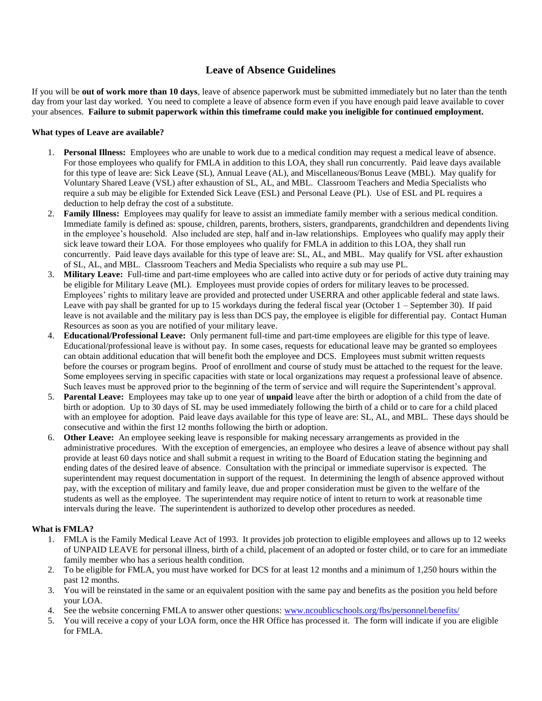### **Leave of Absence Guidelines**

If you will be **out of work more than 10 days**, leave of absence paperwork must be submitted immediately but no later than the tenth day from your last day worked. You need to complete a leave of absence form even if you have enough paid leave available to cover your absences. **Failure to submit paperwork within this timeframe could make you ineligible for continued employment.**

#### **What types of Leave are available?**

- 1. **Personal Illness:** Employees who are unable to work due to a medical condition may request a medical leave of absence. For those employees who qualify for FMLA in addition to this LOA, they shall run concurrently. Paid leave days available for this type of leave are: Sick Leave (SL), Annual Leave (AL), and Miscellaneous/Bonus Leave (MBL). May qualify for Voluntary Shared Leave (VSL) after exhaustion of SL, AL, and MBL. Classroom Teachers and Media Specialists who require a sub may be eligible for Extended Sick Leave (ESL) and Personal Leave (PL). Use of ESL and PL requires a deduction to help defray the cost of a substitute.
- 2. **Family Illness:** Employees may qualify for leave to assist an immediate family member with a serious medical condition. Immediate family is defined as: spouse, children, parents, brothers, sisters, grandparents, grandchildren and dependents living in the employee's household. Also included are step, half and in-law relationships. Employees who qualify may apply their sick leave toward their LOA. For those employees who qualify for FMLA in addition to this LOA, they shall run concurrently. Paid leave days available for this type of leave are: SL, AL, and MBL. May qualify for VSL after exhaustion of SL, AL, and MBL. Classroom Teachers and Media Specialists who require a sub may use PL.
- 3. **Military Leave:** Full-time and part-time employees who are called into active duty or for periods of active duty training may be eligible for Military Leave (ML). Employees must provide copies of orders for military leaves to be processed. Employees' rights to military leave are provided and protected under USERRA and other applicable federal and state laws. Leave with pay shall be granted for up to 15 workdays during the federal fiscal year (October 1 – September 30). If paid leave is not available and the military pay is less than DCS pay, the employee is eligible for differential pay. Contact Human Resources as soon as you are notified of your military leave.
- 4. **Educational/Professional Leave:** Only permanent full-time and part-time employees are eligible for this type of leave. Educational/professional leave is without pay. In some cases, requests for educational leave may be granted so employees can obtain additional education that will benefit both the employee and DCS. Employees must submit written requests before the courses or program begins. Proof of enrollment and course of study must be attached to the request for the leave. Some employees serving in specific capacities with state or local organizations may request a professional leave of absence. Such leaves must be approved prior to the beginning of the term of service and will require the Superintendent's approval.
- 5. **Parental Leave:** Employees may take up to one year of **unpaid** leave after the birth or adoption of a child from the date of birth or adoption. Up to 30 days of SL may be used immediately following the birth of a child or to care for a child placed with an employee for adoption. Paid leave days available for this type of leave are: SL, AL, and MBL. These days should be consecutive and within the first 12 months following the birth or adoption.
- 6. **Other Leave:** An employee seeking leave is responsible for making necessary arrangements as provided in the administrative procedures. With the exception of emergencies, an employee who desires a leave of absence without pay shall provide at least 60 days notice and shall submit a request in writing to the Board of Education stating the beginning and ending dates of the desired leave of absence. Consultation with the principal or immediate supervisor is expected. The superintendent may request documentation in support of the request. In determining the length of absence approved without pay, with the exception of military and family leave, due and proper consideration must be given to the welfare of the students as well as the employee. The superintendent may require notice of intent to return to work at reasonable time intervals during the leave. The superintendent is authorized to develop other procedures as needed.

#### **What is FMLA?**

- 1. FMLA is the Family Medical Leave Act of 1993. It provides job protection to eligible employees and allows up to 12 weeks of UNPAID LEAVE for personal illness, birth of a child, placement of an adopted or foster child, or to care for an immediate family member who has a serious health condition.
- 2. To be eligible for FMLA, you must have worked for DCS for at least 12 months and a minimum of 1,250 hours within the past 12 months.
- 3. You will be reinstated in the same or an equivalent position with the same pay and benefits as the position you held before your LOA.
- 4. See the website concerning FMLA to answer other questions: [www.ncoublicschools.org/fbs/personnel/benefits/](http://www.ncoublicschools.org/fbs/personnel/benefits/)
- 5. You will receive a copy of your LOA form, once the HR Office has processed it. The form will indicate if you are eligible for FMLA.